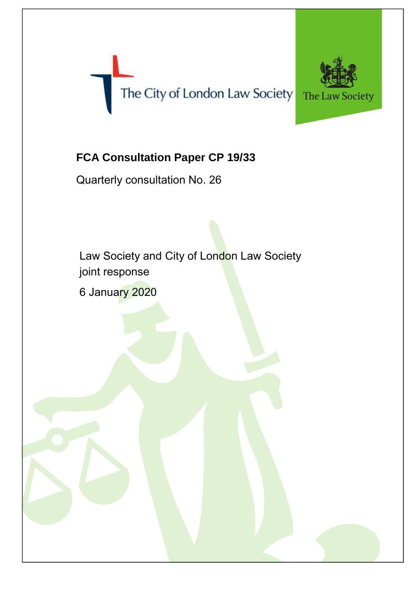



## **FCA Consultation Paper CP 19/33**

Quarterly consultation No. 26

Law Society and City of London Law Society joint response

6 January 2020

The Law Society 2018 © 2018 © 2018 © 2018 © 2018 © 2018 © 2018 © 2018 © 2018 © 2018